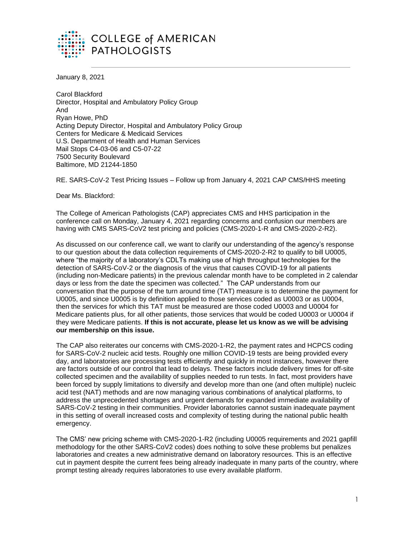

January 8, 2021

Carol Blackford Director, Hospital and Ambulatory Policy Group And Ryan Howe, PhD Acting Deputy Director, Hospital and Ambulatory Policy Group Centers for Medicare & Medicaid Services U.S. Department of Health and Human Services Mail Stops C4-03-06 and C5-07-22 7500 Security Boulevard Baltimore, MD 21244-1850

RE. SARS-CoV-2 Test Pricing Issues – Follow up from January 4, 2021 CAP CMS/HHS meeting

Dear Ms. Blackford:

The College of American Pathologists (CAP) appreciates CMS and HHS participation in the conference call on Monday, January 4, 2021 regarding concerns and confusion our members are having with CMS SARS-CoV2 test pricing and policies (CMS-2020-1-R and CMS-2020-2-R2).

As discussed on our conference call, we want to clarify our understanding of the agency's response to our question about the data collection requirements of CMS-2020-2-R2 to qualify to bill U0005, where "the majority of a laboratory's CDLTs making use of high throughput technologies for the detection of SARS-CoV-2 or the diagnosis of the virus that causes COVID-19 for all patients (including non-Medicare patients) in the previous calendar month have to be completed in 2 calendar days or less from the date the specimen was collected." The CAP understands from our conversation that the purpose of the turn around time (TAT) measure is to determine the payment for U0005, and since U0005 is by definition applied to those services coded as U0003 or as U0004, then the services for which this TAT must be measured are those coded U0003 and U0004 for Medicare patients plus, for all other patients, those services that would be coded U0003 or U0004 if they were Medicare patients. **If this is not accurate, please let us know as we will be advising our membership on this issue.**

The CAP also reiterates our concerns with CMS-2020-1-R2, the payment rates and HCPCS coding for SARS-CoV-2 nucleic acid tests. Roughly one million COVID-19 tests are being provided every day, and laboratories are processing tests efficiently and quickly in most instances, however there are factors outside of our control that lead to delays. These factors include delivery times for off-site collected specimen and the availability of supplies needed to run tests. In fact, most providers have been forced by supply limitations to diversify and develop more than one (and often multiple) nucleic acid test (NAT) methods and are now managing various combinations of analytical platforms, to address the unprecedented shortages and urgent demands for expanded immediate availability of SARS-CoV-2 testing in their communities. Provider laboratories cannot sustain inadequate payment in this setting of overall increased costs and complexity of testing during the national public health emergency.

The CMS' new pricing scheme with CMS-2020-1-R2 (including U0005 requirements and 2021 gapfill methodology for the other SARS-CoV2 codes) does nothing to solve these problems but penalizes laboratories and creates a new administrative demand on laboratory resources. This is an effective cut in payment despite the current fees being already inadequate in many parts of the country, where prompt testing already requires laboratories to use every available platform.